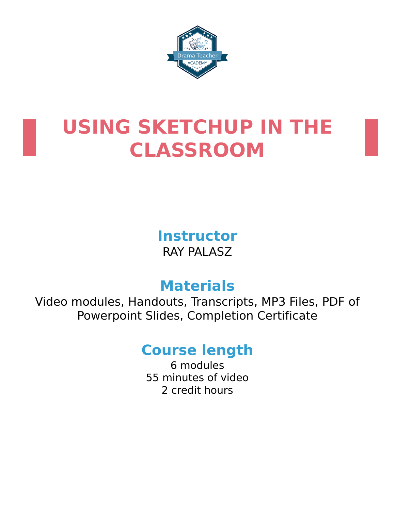



# **USING SKETCHUP IN THE CLASSROOM**

**Instructor** RAY PALASZ

# **Materials**

Video modules, Handouts, Transcripts, MP3 Files, PDF of Powerpoint Slides, Completion Certificate

# **Course length**

6 modules 55 minutes of video 2 credit hours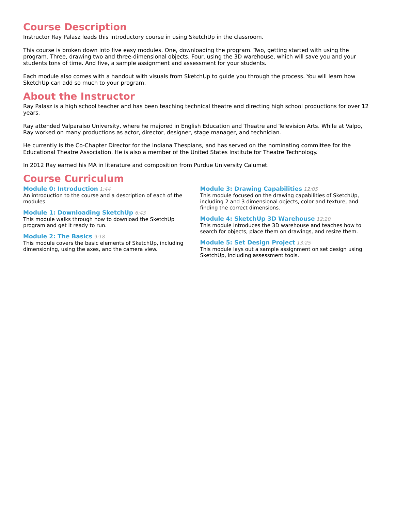# **Course Description**

Instructor Ray Palasz leads this introductory course in using SketchUp in the classroom.

This course is broken down into five easy modules. One, downloading the program. Two, getting started with using the program. Three, drawing two and three-dimensional objects. Four, using the 3D warehouse, which will save you and your students tons of time. And five, a sample assignment and assessment for your students.

Each module also comes with a handout with visuals from SketchUp to guide you through the process. You will learn how SketchUp can add so much to your program.

# **About the Instructor**

Ray Palasz is a high school teacher and has been teaching technical theatre and directing high school productions for over 12 years.

Ray attended Valparaiso University, where he majored in English Education and Theatre and Television Arts. While at Valpo, Ray worked on many productions as actor, director, designer, stage manager, and technician.

He currently is the Co-Chapter Director for the Indiana Thespians, and has served on the nominating committee for the Educational Theatre Association. He is also a member of the United States Institute for Theatre Technology.

In 2012 Ray earned his MA in literature and composition from Purdue University Calumet.

# **Course Curriculum**

**Module 0: Introduction** 1:44 An introduction to the course and a description of each of the modules.

#### **Module 1: Downloading SketchUp** 6:43

This module walks through how to download the SketchUp program and get it ready to run.

#### **Module 2: The Basics** 9:18

This module covers the basic elements of SketchUp, including dimensioning, using the axes, and the camera view.

#### **Module 3: Drawing Capabilities** 12:05

This module focused on the drawing capabilities of SketchUp, including 2 and 3 dimensional objects, color and texture, and finding the correct dimensions.

#### **Module 4: SketchUp 3D Warehouse** 12:20

This module introduces the 3D warehouse and teaches how to search for objects, place them on drawings, and resize them.

#### **Module 5: Set Design Project** 13:25

This module lays out a sample assignment on set design using SketchUp, including assessment tools.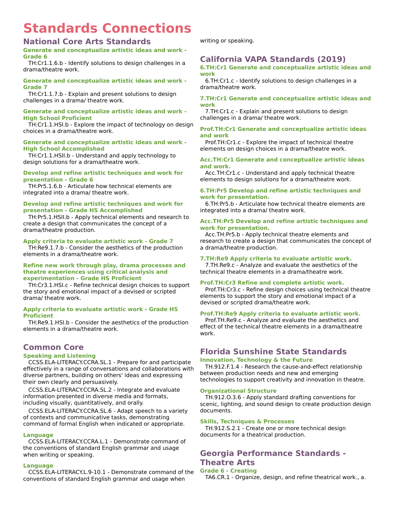# **Standards Connections**

## **National Core Arts Standards**

**Generate and conceptualize artistic ideas and work - Grade 6**

TH:Cr1.1.6.b - Identify solutions to design challenges in a drama/theatre work.

#### **Generate and conceptualize artistic ideas and work - Grade 7**

TH:Cr1.1.7.b - Explain and present solutions to design challenges in a drama/ theatre work.

#### **Generate and conceptualize artistic ideas and work - High School Proficient**

TH:Cr1.1.HSI.b - Explore the impact of technology on design choices in a drama/theatre work.

#### **Generate and conceptualize artistic ideas and work - High School Accomplished**

TH:Cr1.1.HSII.b - Understand and apply technology to design solutions for a drama/theatre work.

#### **Develop and refine artistic techniques and work for presentation - Grade 6**

TH:Pr5.1.6.b - Articulate how technical elements are integrated into a drama/ theatre work.

#### **Develop and refine artistic techniques and work for presentation - Grade HS Accomplished**

TH:Pr5.1.HSII.b - Apply technical elements and research to create a design that communicates the concept of a drama/theatre production.

#### **Apply criteria to evaluate artistic work - Grade 7**

TH:Re9.1.7.b - Consider the aesthetics of the production elements in a drama/theatre work.

#### **Refine new work through play, drama processes and theatre experiences using critical analysis and experimentation - Grade HS Proficient**

TH:Cr3.1.HSI.c - Refine technical design choices to support the story and emotional impact of a devised or scripted drama/ theatre work.

#### **Apply criteria to evaluate artistic work - Grade HS Proficient**

TH:Re9.1.HSI.b - Consider the aesthetics of the production elements in a drama/theatre work.

## **Common Core**

#### **Speaking and Listening**

CCSS.ELA-LITERACY.CCRA.SL.1 - Prepare for and participate effectively in a range of conversations and collaborations with diverse partners, building on others' ideas and expressing their own clearly and persuasively.

CCSS.ELA-LITERACY.CCRA.SL.2 - Integrate and evaluate information presented in diverse media and formats, including visually, quantitatively, and orally.

CCSS.ELA-LITERACY.CCRA.SL.6 - Adapt speech to a variety of contexts and communicative tasks, demonstrating command of formal English when indicated or appropriate.

#### **Language**

CCSS.ELA-LITERACY.CCRA.L.1 - Demonstrate command of the conventions of standard English grammar and usage when writing or speaking.

#### **Language**

CCSS.ELA-LITERACY.L.9-10.1 - Demonstrate command of the conventions of standard English grammar and usage when

writing or speaking.

## **California VAPA Standards (2019)**

**6.TH:Cr1 Generate and conceptualize artistic ideas and work**

6.TH:Cr1.c - Identify solutions to design challenges in a drama/theatre work.

#### **7.TH:Cr1 Generate and conceptualize artistic ideas and work**

7.TH:Cr1.c - Explain and present solutions to design challenges in a drama/ theatre work.

#### **Prof.TH:Cr1 Generate and conceptualize artistic ideas and work**

Prof.TH:Cr1.c - Explore the impact of technical theatre elements on design choices in a drama/theatre work.

#### **Acc.TH:Cr1 Generate and conceptualize artistic ideas and work.**

Acc.TH:Cr1.c - Understand and apply technical theatre elements to design solutions for a drama/theatre work.

#### **6.TH:Pr5 Develop and refine artistic techniques and work for presentation.**

6.TH:Pr5.b - Articulate how technical theatre elements are integrated into a drama/ theatre work.

#### **Acc.TH:Pr5 Develop and refine artistic techniques and work for presentation.**

Acc.TH:Pr5.b - Apply technical theatre elements and research to create a design that communicates the concept of a drama/theatre production.

#### **7.TH:Re9 Apply criteria to evaluate artistic work.**

7.TH.Re9.c - Analyze and evaluate the aesthetics of the technical theatre elements in a drama/theatre work.

#### **Prof.TH:Cr3 Refine and complete artistic work.**

Prof.TH:Cr3.c - Refine design choices using technical theatre elements to support the story and emotional impact of a devised or scripted drama/theatre work.

#### **Prof.TH:Re9 Apply criteria to evaluate artistic work.**

Prof.TH.Re9.c - Analyze and evaluate the aesthetics and effect of the technical theatre elements in a drama/theatre work.

# **Florida Sunshine State Standards**

#### **Innovation, Technology & the Future**

TH.912.F.1.4 - Research the cause-and-effect relationship between production needs and new and emerging technologies to support creativity and innovation in theatre.

#### **Organizational Structure**

TH.912.O.3.6 - Apply standard drafting conventions for scenic, lighting, and sound design to create production design documents.

#### **Skills, Techniques & Processes**

TH.912.S.2.1 - Create one or more technical design documents for a theatrical production.

# **Georgia Performance Standards - Theatre Arts**

#### **Grade 6 - Creating**

TA6.CR.1 - Organize, design, and refine theatrical work., a.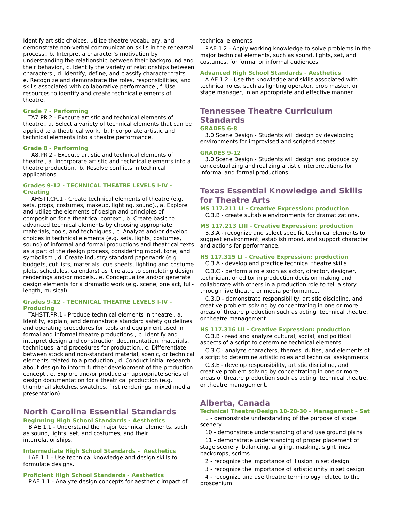Identify artistic choices, utilize theatre vocabulary, and demonstrate non-verbal communication skills in the rehearsal process., b. Interpret a character's motivation by understanding the relationship between their background and their behavior., c. Identify the variety of relationships between characters., d. Identify, define, and classify character traits., e. Recognize and demonstrate the roles, responsibilities, and skills associated with collaborative performance., f. Use resources to identify and create technical elements of theatre.

#### **Grade 7 - Performing**

TA7.PR.2 - Execute artistic and technical elements of theatre., a. Select a variety of technical elements that can be applied to a theatrical work., b. Incorporate artistic and technical elements into a theatre performance.

#### **Grade 8 - Performing**

TA8.PR.2 - Execute artistic and technical elements of theatre., a. Incorporate artistic and technical elements into a theatre production., b. Resolve conflicts in technical applications.

#### **Grades 9-12 - TECHNICAL THEATRE LEVELS I-IV - Creating**

TAHSTT.CR.1 - Create technical elements of theatre (e.g. sets, props, costumes, makeup, lighting, sound)., a. Explore and utilize the elements of design and principles of composition for a theatrical context., b. Create basic to advanced technical elements by choosing appropriate materials, tools, and techniques., c. Analyze and/or develop choices in technical elements (e.g. sets, lights, costumes, sound) of informal and formal productions and theatrical texts as a part of the design process, considering mood, tone, and symbolism., d. Create industry standard paperwork (e.g. budgets, cut lists, materials, cue sheets, lighting and costume plots, schedules, calendars) as it relates to completing design renderings and/or models., e. Conceptualize and/or generate design elements for a dramatic work (e.g. scene, one act, fulllength, musical).

#### **Grades 9-12 - TECHNICAL THEATRE LEVELS I-IV - Producing**

TAHSTT.PR.1 - Produce technical elements in theatre., a. Identify, explain, and demonstrate standard safety guidelines and operating procedures for tools and equipment used in formal and informal theatre productions., b. Identify and interpret design and construction documentation, materials, techniques, and procedures for production., c. Differentiate between stock and non-standard material, scenic, or technical elements related to a production., d. Conduct initial research about design to inform further development of the production concept., e. Explore and/or produce an appropriate series of design documentation for a theatrical production (e.g. thumbnail sketches, swatches, first renderings, mixed media presentation).

# **North Carolina Essential Standards**

## **Beginning High School Standards - Aesthetics**

B.AE.1.1 - Understand the major technical elements, such as sound, lights, set, and costumes, and their interrelationships.

#### **Intermediate High School Standards - Aesthetics**

I.AE.1.1 - Use technical knowledge and design skills to formulate designs.

#### **Proficient High School Standards - Aesthetics**

P.AE.1.1 - Analyze design concepts for aesthetic impact of

technical elements.

P.AE.1.2 - Apply working knowledge to solve problems in the major technical elements, such as sound, lights, set, and costumes, for formal or informal audiences.

#### **Advanced High School Standards - Aesthetics**

A.AE.1.2 - Use the knowledge and skills associated with technical roles, such as lighting operator, prop master, or stage manager, in an appropriate and effective manner.

### **Tennessee Theatre Curriculum Standards GRADES 6-8**

3.0 Scene Design - Students will design by developing environments for improvised and scripted scenes.

#### **GRADES 9-12**

3.0 Scene Design - Students will design and produce by conceptualizing and realizing artistic interpretations for informal and formal productions.

## **Texas Essential Knowledge and Skills for Theatre Arts**

#### **MS 117.211 LI - Creative Expression: production**

C.3.B - create suitable environments for dramatizations.

#### **MS 117.213 LIII - Creative Expression: production**

B.3.A - recognize and select specific technical elements to suggest environment, establish mood, and support character and actions for performance.

#### **HS 117.315 LI - Creative Expression: production**

C.3.A - develop and practice technical theatre skills.

C.3.C - perform a role such as actor, director, designer, technician, or editor in production decision making and collaborate with others in a production role to tell a story through live theatre or media performance.

C.3.D - demonstrate responsibility, artistic discipline, and creative problem solving by concentrating in one or more areas of theatre production such as acting, technical theatre, or theatre management.

#### **HS 117.316 LII - Creative Expression: production**

C.3.B - read and analyze cultural, social, and political aspects of a script to determine technical elements.

C.3.C - analyze characters, themes, duties, and elements of a script to determine artistic roles and technical assignments.

C.3.E - develop responsibility, artistic discipline, and creative problem solving by concentrating in one or more areas of theatre production such as acting, technical theatre, or theatre management.

## **Alberta, Canada**

#### **Technical Theatre/Design 10-20-30 - Management - Set**

1 - demonstrate understanding of the purpose of stage scenery

10 - demonstrate understanding of and use ground plans

11 - demonstrate understanding of proper placement of stage scenery: balancing, angling, masking, sight lines, backdrops, scrims

2 - recognize the importance of illusion in set design

3 - recognize the importance of artistic unity in set design

4 - recognize and use theatre terminology related to the proscenium